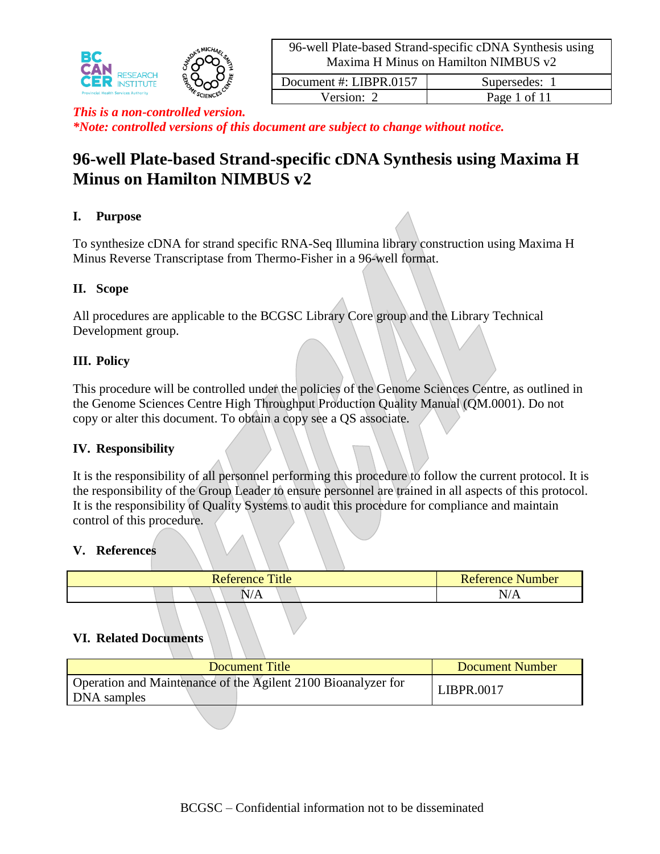

Version: 2 Page 1 of 11 *This is a non-controlled version.*

*\*Note: controlled versions of this document are subject to change without notice.*

# **96-well Plate-based Strand-specific cDNA Synthesis using Maxima H Minus on Hamilton NIMBUS v2**

## **I. Purpose**

To synthesize cDNA for strand specific RNA-Seq Illumina library construction using Maxima H Minus Reverse Transcriptase from Thermo-Fisher in a 96-well format.

## **II. Scope**

All procedures are applicable to the BCGSC Library Core group and the Library Technical Development group.

## **III. Policy**

This procedure will be controlled under the policies of the Genome Sciences Centre, as outlined in the Genome Sciences Centre High Throughput Production Quality Manual (QM.0001). Do not copy or alter this document. To obtain a copy see a QS associate.

#### **IV. Responsibility**

It is the responsibility of all personnel performing this procedure to follow the current protocol. It is the responsibility of the Group Leader to ensure personnel are trained in all aspects of this protocol. It is the responsibility of Quality Systems to audit this procedure for compliance and maintain control of this procedure.

#### **V. References**

| Title<br>Reference | <b>Reference Number</b>                         |
|--------------------|-------------------------------------------------|
| $\sim$ $\prime$    | N/A                                             |
| 17 T T             | the contract of the contract of the contract of |

## **VI. Related Documents**

| Document Title                                                               | <b>Document Number</b> |
|------------------------------------------------------------------------------|------------------------|
| Operation and Maintenance of the Agilent 2100 Bioanalyzer for<br>DNA samples | LIBPR.0017             |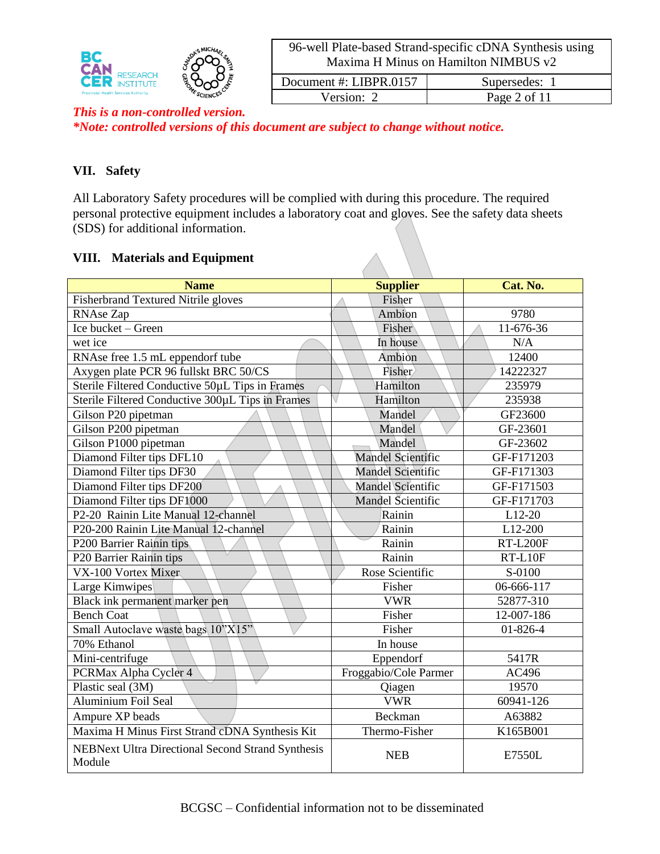

| Document #: LIBPR.0157 | Supersedes:  |
|------------------------|--------------|
| Version: 2             | Page 2 of 11 |

# *This is a non-controlled version.*

*\*Note: controlled versions of this document are subject to change without notice.*

## **VII. Safety**

All Laboratory Safety procedures will be complied with during this procedure. The required personal protective equipment includes a laboratory coat and gloves. See the safety data sheets (SDS) for additional information.

## **VIII. Materials and Equipment**

| <b>Name</b>                                                        | <b>Supplier</b>          | Cat. No.        |  |
|--------------------------------------------------------------------|--------------------------|-----------------|--|
| Fisherbrand Textured Nitrile gloves                                | Fisher                   |                 |  |
| <b>RNAse Zap</b>                                                   | Ambion                   | 9780            |  |
| Ice bucket - Green                                                 | Fisher                   | 11-676-36       |  |
| wet ice                                                            | In house                 | N/A             |  |
| RNAse free 1.5 mL eppendorf tube                                   | Ambion                   | 12400           |  |
| Axygen plate PCR 96 fullskt BRC 50/CS                              | Fisher                   | 14222327        |  |
| Sterile Filtered Conductive 50µL Tips in Frames                    | Hamilton                 | 235979          |  |
| Sterile Filtered Conductive 300µL Tips in Frames                   | Hamilton                 | 235938          |  |
| Gilson P20 pipetman                                                | Mandel                   | GF23600         |  |
| Gilson P200 pipetman                                               | Mandel                   | GF-23601        |  |
| Gilson P1000 pipetman                                              | Mandel                   | GF-23602        |  |
| Diamond Filter tips DFL10                                          | <b>Mandel Scientific</b> | GF-F171203      |  |
| Diamond Filter tips DF30                                           | <b>Mandel Scientific</b> | GF-F171303      |  |
| Diamond Filter tips DF200                                          | <b>Mandel Scientific</b> | GF-F171503      |  |
| Diamond Filter tips DF1000                                         | <b>Mandel Scientific</b> | GF-F171703      |  |
| P2-20 Rainin Lite Manual 12-channel                                | Rainin                   | L12-20          |  |
| P20-200 Rainin Lite Manual 12-channel                              | Rainin                   | L12-200         |  |
| P200 Barrier Rainin tips                                           | Rainin                   | <b>RT-L200F</b> |  |
| P20 Barrier Rainin tips                                            | Rainin                   | $RT-L10F$       |  |
| VX-100 Vortex Mixer                                                | Rose Scientific          | S-0100          |  |
| Large Kimwipes                                                     | Fisher                   | 06-666-117      |  |
| Black ink permanent marker pen                                     | <b>VWR</b>               | 52877-310       |  |
| <b>Bench Coat</b>                                                  | Fisher                   | 12-007-186      |  |
| Small Autoclave waste bags 10"X15"                                 | Fisher                   | 01-826-4        |  |
| 70% Ethanol                                                        | In house                 |                 |  |
| Mini-centrifuge                                                    | Eppendorf                | 5417R           |  |
| PCRMax Alpha Cycler 4                                              | Froggabio/Cole Parmer    | AC496           |  |
| Plastic seal (3M)                                                  | Qiagen                   | 19570           |  |
| <b>Aluminium Foil Seal</b>                                         | <b>VWR</b>               | 60941-126       |  |
| Ampure XP beads                                                    | Beckman                  | A63882          |  |
| Maxima H Minus First Strand cDNA Synthesis Kit                     | Thermo-Fisher            | K165B001        |  |
| <b>NEBNext Ultra Directional Second Strand Synthesis</b><br>Module | <b>NEB</b>               | E7550L          |  |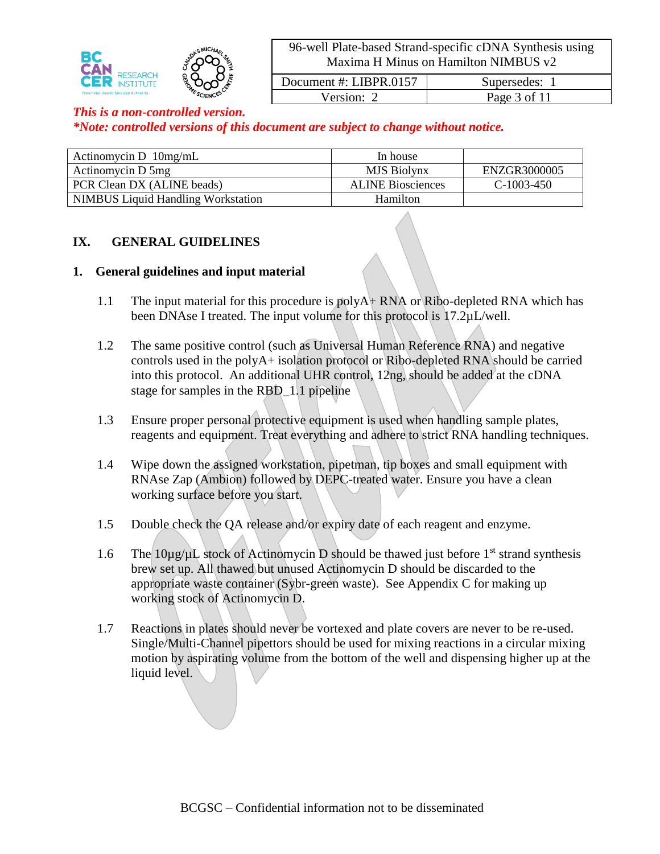

Version: 2 Page 3 of 11

Document #: LIBPR.0157 Supersedes: 1

#### *This is a non-controlled version.*

*\*Note: controlled versions of this document are subject to change without notice.*

| Actinomycin D $10mg/mL$                   | In house                 |              |
|-------------------------------------------|--------------------------|--------------|
| Actinomycin D 5mg                         | MJS Biolynx              | ENZGR3000005 |
| PCR Clean DX (ALINE beads)                | <b>ALINE Biosciences</b> | $C-1003-450$ |
| <b>NIMBUS</b> Liquid Handling Workstation | Hamilton                 |              |

#### **IX. GENERAL GUIDELINES**

#### **1. General guidelines and input material**

- 1.1 The input material for this procedure is polyA+ RNA or Ribo-depleted RNA which has been DNAse I treated. The input volume for this protocol is 17.2µL/well.
- 1.2 The same positive control (such as Universal Human Reference RNA) and negative controls used in the polyA+ isolation protocol or Ribo-depleted RNA should be carried into this protocol. An additional UHR control, 12ng, should be added at the cDNA stage for samples in the RBD\_1.1 pipeline
- 1.3 Ensure proper personal protective equipment is used when handling sample plates, reagents and equipment. Treat everything and adhere to strict RNA handling techniques.
- 1.4 Wipe down the assigned workstation, pipetman, tip boxes and small equipment with RNAse Zap (Ambion) followed by DEPC-treated water. Ensure you have a clean working surface before you start.
- 1.5 Double check the QA release and/or expiry date of each reagent and enzyme.
- 1.6 The  $10\mu$ g/ $\mu$ L stock of Actinomycin D should be thawed just before 1<sup>st</sup> strand synthesis brew set up. All thawed but unused Actinomycin D should be discarded to the appropriate waste container (Sybr-green waste). See Appendix C for making up working stock of Actinomycin D.
- 1.7 Reactions in plates should never be vortexed and plate covers are never to be re-used. Single/Multi-Channel pipettors should be used for mixing reactions in a circular mixing motion by aspirating volume from the bottom of the well and dispensing higher up at the liquid level.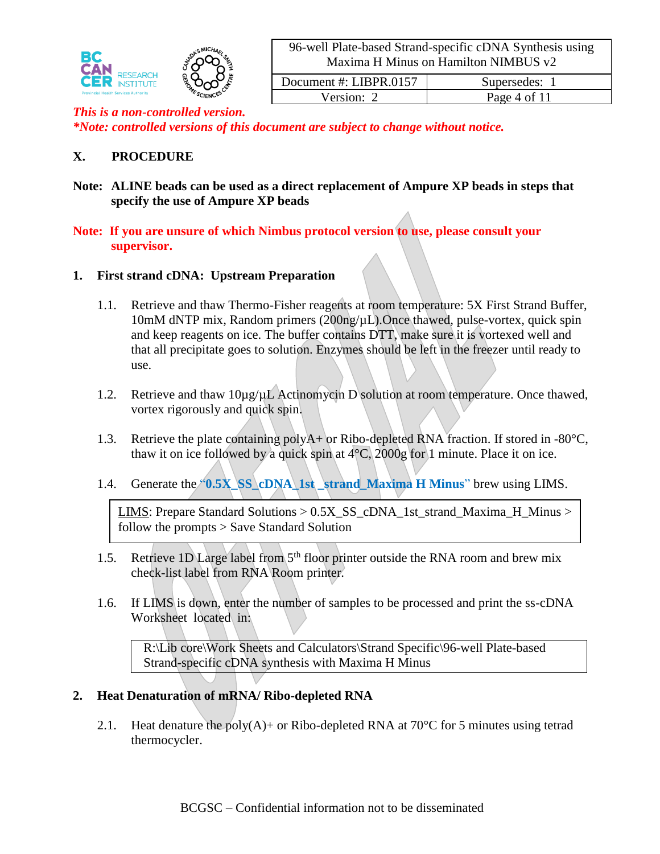

| Document #: LIBPR.0157 | Supersedes:  |
|------------------------|--------------|
| Version: 2             | Page 4 of 11 |
|                        |              |

#### *This is a non-controlled version. \*Note: controlled versions of this document are subject to change without notice.*

#### **X. PROCEDURE**

**Note: ALINE beads can be used as a direct replacement of Ampure XP beads in steps that specify the use of Ampure XP beads** 

#### **Note: If you are unsure of which Nimbus protocol version to use, please consult your supervisor.**

#### **1. First strand cDNA: Upstream Preparation**

- 1.1. Retrieve and thaw Thermo-Fisher reagents at room temperature: 5X First Strand Buffer, 10mM dNTP mix, Random primers (200ng/µL).Once thawed, pulse-vortex, quick spin and keep reagents on ice. The buffer contains DTT, make sure it is vortexed well and that all precipitate goes to solution. Enzymes should be left in the freezer until ready to use.
- 1.2. Retrieve and thaw  $10\mu g/\mu L$  Actinomycin D solution at room temperature. Once thawed, vortex rigorously and quick spin.
- 1.3. Retrieve the plate containing polyA+ or Ribo-depleted RNA fraction. If stored in -80°C, thaw it on ice followed by a quick spin at  $4^{\circ}$ C, 2000g for 1 minute. Place it on ice.
- 1.4. Generate the **"0.5X\_SS\_cDNA\_1st\_strand\_Maxima H Minus**" brew using LIMS.

LIMS: Prepare Standard Solutions  $> 0.5X$  SS cDNA 1st strand Maxima H Minus  $>$ follow the prompts > Save Standard Solution

- 1.5. Retrieve 1D Large label from  $5<sup>th</sup>$  floor printer outside the RNA room and brew mix check-list label from RNA Room printer.
- 1.6. If LIMS is down, enter the number of samples to be processed and print the ss-cDNA Worksheet located in:

R:\Lib core\Work Sheets and Calculators\Strand Specific\96-well Plate-based Strand-specific cDNA synthesis with Maxima H Minus

#### **2. Heat Denaturation of mRNA/ Ribo-depleted RNA**

2.1. Heat denature the poly(A)+ or Ribo-depleted RNA at 70 $\degree$ C for 5 minutes using tetrad thermocycler.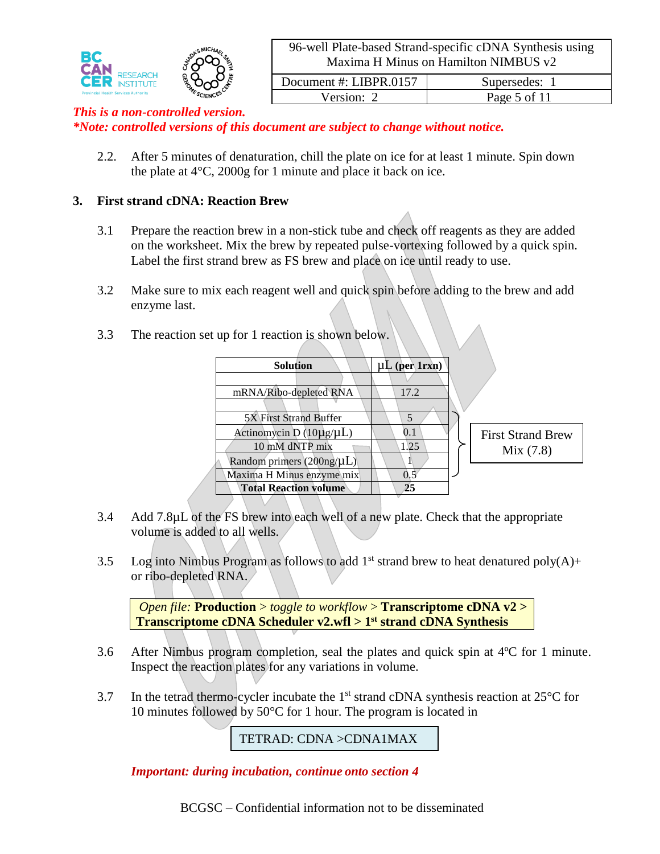

Version: 2 Page 5 of 11

#### *This is a non-controlled version.*

*\*Note: controlled versions of this document are subject to change without notice.*

2.2. After 5 minutes of denaturation, chill the plate on ice for at least 1 minute. Spin down the plate at 4°C, 2000g for 1 minute and place it back on ice.

#### **3. First strand cDNA: Reaction Brew**

- 3.1 Prepare the reaction brew in a non-stick tube and check off reagents as they are added on the worksheet. Mix the brew by repeated pulse-vortexing followed by a quick spin. Label the first strand brew as FS brew and place on ice until ready to use.
- 3.2 Make sure to mix each reagent well and quick spin before adding to the brew and add enzyme last.

| on set up for I reaction is snown below. |                    |                          |
|------------------------------------------|--------------------|--------------------------|
| <b>Solution</b>                          | $\mu L$ (per 1rxn) |                          |
|                                          |                    |                          |
| mRNA/Ribo-depleted RNA                   | 17.2               |                          |
|                                          |                    |                          |
| 5X First Strand Buffer                   |                    |                          |
| Actinomycin D $(10\mu g/\mu L)$          | $0.1\,$            | <b>First Strand Brew</b> |
| 10 mM dNTP mix                           | 1.25               | Mix(7.8)                 |
| Random primers $(200ng/\mu L)$           |                    |                          |

 $3.3$  The reaction set up for 1 reaction is shown below.

3.4 Add 7.8µL of the FS brew into each well of a new plate. Check that the appropriate volume is added to all wells.

Maxima H Minus enzyme mix  $| \t\t 0.5$ **Total Reaction volume 25**

3.5 Log into Nimbus Program as follows to add  $1<sup>st</sup>$  strand brew to heat denatured poly(A)+ or ribo-depleted RNA.

*Open file:* **Production** > *toggle to workflow* > **Transcriptome cDNA v2 > Transcriptome cDNA Scheduler v2.wfl > 1 st strand cDNA Synthesis**

- 3.6 After Nimbus program completion, seal the plates and quick spin at 4ºC for 1 minute. Inspect the reaction plates for any variations in volume.
- 3.7 In the tetrad thermo-cycler incubate the  $1<sup>st</sup>$  strand cDNA synthesis reaction at  $25^{\circ}$ C for 10 minutes followed by 50°C for 1 hour. The program is located in

TETRAD: CDNA >CDNA1MAX

*Important: during incubation, continue onto section 4*

BCGSC – Confidential information not to be disseminated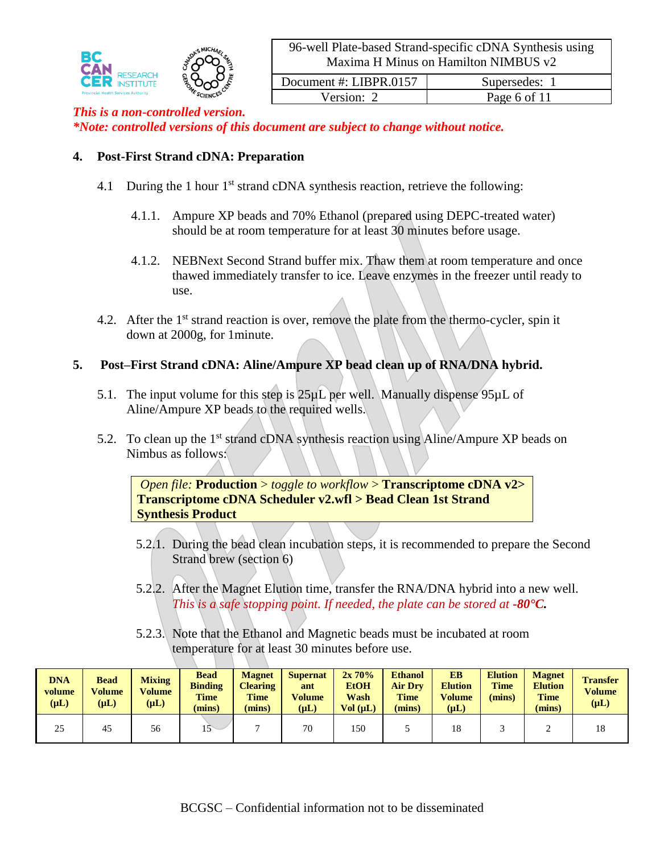

#### Version: 2 Page 6 of 11 *This is a non-controlled version. \*Note: controlled versions of this document are subject to change without notice.*

## **4. Post-First Strand cDNA: Preparation**

- 4.1 During the 1 hour  $1<sup>st</sup>$  strand cDNA synthesis reaction, retrieve the following:
	- 4.1.1. Ampure XP beads and 70% Ethanol (prepared using DEPC-treated water) should be at room temperature for at least 30 minutes before usage.
	- 4.1.2. NEBNext Second Strand buffer mix. Thaw them at room temperature and once thawed immediately transfer to ice. Leave enzymes in the freezer until ready to use.
- 4.2. After the 1<sup>st</sup> strand reaction is over, remove the plate from the thermo-cycler, spin it down at 2000g, for 1minute.

#### **5. Post–First Strand cDNA: Aline/Ampure XP bead clean up of RNA/DNA hybrid.**

- 5.1. The input volume for this step is 25µL per well. Manually dispense 95µL of Aline/Ampure XP beads to the required wells.
- 5.2. To clean up the 1<sup>st</sup> strand cDNA synthesis reaction using Aline/Ampure XP beads on Nimbus as follows:

*Open file:* **Production** > *toggle to workflow* > **Transcriptome cDNA v2> Transcriptome cDNA Scheduler v2.wfl > Bead Clean 1st Strand Synthesis Product**

- 5.2.1. During the bead clean incubation steps, it is recommended to prepare the Second Strand brew (section 6)
- 5.2.2. After the Magnet Elution time, transfer the RNA/DNA hybrid into a new well. *This is a safe stopping point. If needed, the plate can be stored at -80°C.*
- 5.2.3. Note that the Ethanol and Magnetic beads must be incubated at room temperature for at least 30 minutes before use.

| <b>DNA</b><br>volume<br>$(\mu L)$ | <b>Bead</b><br><b>Volume</b><br>$(\mu L)$ | <b>Mixing</b><br>Volume<br>$(\mu L)$ | <b>Bead</b><br><b>Binding</b><br><b>Time</b><br>(mins) | <b>Magnet</b><br><b>Clearing</b><br><b>Time</b><br>(mins) | <b>Supernat</b><br>ant<br><b>Volume</b><br>$(\mu L)$ | 2x70%<br><b>EtOH</b><br>Wash<br>Vol (uL) | <b>Ethanol</b><br><b>Air Dry</b><br><b>Time</b><br>(mins) | <b>EB</b><br><b>Elution</b><br><b>Volume</b><br>$(\mu L)$ | <b>Elution</b><br><b>Time</b><br>(mins) | <b>Magnet</b><br><b>Elution</b><br><b>Time</b><br>(mins) | <b>Transfer</b><br>Volume<br>$(\mu L)$ |
|-----------------------------------|-------------------------------------------|--------------------------------------|--------------------------------------------------------|-----------------------------------------------------------|------------------------------------------------------|------------------------------------------|-----------------------------------------------------------|-----------------------------------------------------------|-----------------------------------------|----------------------------------------------------------|----------------------------------------|
| 25                                | 45                                        | 56                                   | $\sim$                                                 |                                                           | 70                                                   | 150                                      |                                                           | 18                                                        |                                         |                                                          | 18                                     |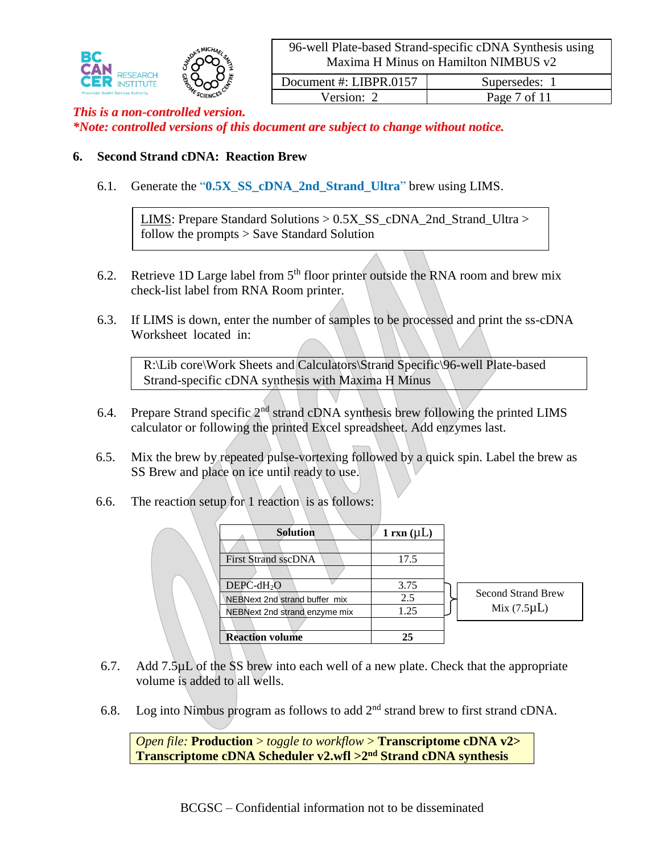

Version: 2 Page 7 of 11

# *This is a non-controlled version.*

*\*Note: controlled versions of this document are subject to change without notice.*

#### **6. Second Strand cDNA: Reaction Brew**

6.1. Generate the "**0.5X**\_**SS\_cDNA\_2nd\_Strand\_Ultra**" brew using LIMS.

LIMS: Prepare Standard Solutions > 0.5X\_SS\_cDNA\_2nd\_Strand\_Ultra > follow the prompts > Save Standard Solution

- 6.2. Retrieve 1D Large label from  $5<sup>th</sup>$  floor printer outside the RNA room and brew mix check-list label from RNA Room printer.
- 6.3. If LIMS is down, enter the number of samples to be processed and print the ss-cDNA Worksheet located in:

R:\Lib core\Work Sheets and Calculators\Strand Specific\96-well Plate-based Strand-specific cDNA synthesis with Maxima H Minus

- 6.4. Prepare Strand specific  $2<sup>nd</sup>$  strand cDNA synthesis brew following the printed LIMS calculator or following the printed Excel spreadsheet. Add enzymes last.
- 6.5. Mix the brew by repeated pulse-vortexing followed by a quick spin. Label the brew as SS Brew and place on ice until ready to use.
- 6.6. The reaction setup for 1 reaction is as follows:

| <b>Solution</b>               | 1 rxn $(\mu L)$ |        |
|-------------------------------|-----------------|--------|
|                               |                 |        |
| <b>First Strand sscDNA</b>    | 17.5            |        |
|                               |                 |        |
| $DEPC-dH2O$                   | 3.75            |        |
| NEBNext 2nd strand buffer mix | 2.5             | Second |
| NEBNext 2nd strand enzyme mix | 1.25            | Mi     |
|                               |                 |        |
| <b>Reaction volume</b>        | 25              |        |

d Strand Brew ix (7.5 $\mu$ L)

- 6.7. Add 7.5µL of the SS brew into each well of a new plate. Check that the appropriate volume is added to all wells.
- 6.8. Log into Nimbus program as follows to add  $2<sup>nd</sup>$  strand brew to first strand cDNA.

*Open file:* **Production** > *toggle to workflow* > **Transcriptome cDNA v2> Transcriptome cDNA Scheduler v2.wfl >2nd Strand cDNA synthesis**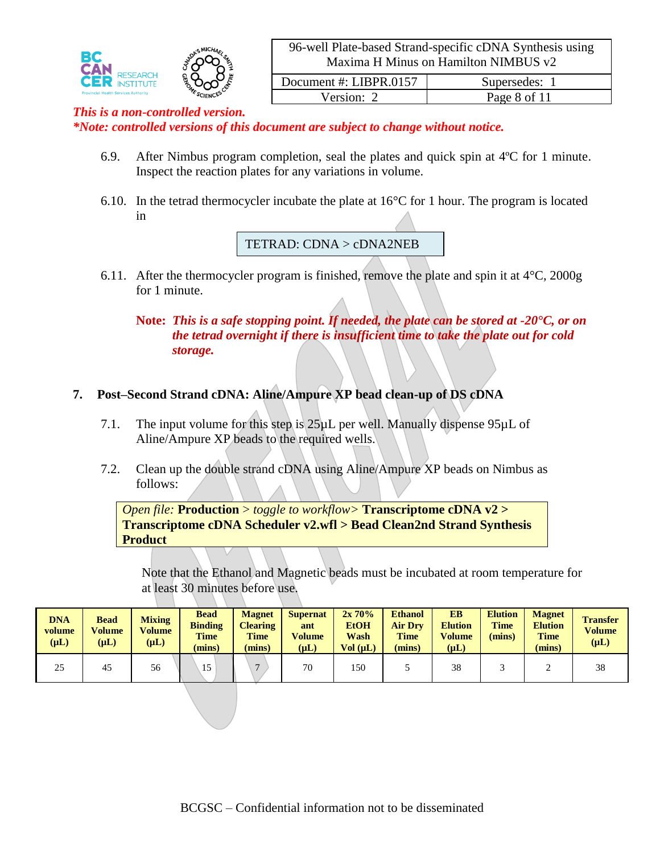

Version: 2 Page 8 of 11

#### *This is a non-controlled version.*

*\*Note: controlled versions of this document are subject to change without notice.*

- 6.9. After Nimbus program completion, seal the plates and quick spin at 4ºC for 1 minute. Inspect the reaction plates for any variations in volume.
- 6.10. In the tetrad thermocycler incubate the plate at 16°C for 1 hour. The program is located in

TETRAD: CDNA > cDNA2NEB

6.11. After the thermocycler program is finished, remove the plate and spin it at  $4^{\circ}$ C, 2000g for 1 minute.

**Note:** *This is a safe stopping point. If needed, the plate can be stored at -20°C, or on the tetrad overnight if there is insufficient time to take the plate out for cold storage.*

#### **7. Post–Second Strand cDNA: Aline/Ampure XP bead clean-up of DS cDNA**

- 7.1. The input volume for this step is 25µL per well. Manually dispense 95µL of Aline/Ampure XP beads to the required wells.
- 7.2. Clean up the double strand cDNA using Aline/Ampure XP beads on Nimbus as follows:

*Open file:* **Production** > *toggle to workflow>* **Transcriptome cDNA v2 > Transcriptome cDNA Scheduler v2.wfl > Bead Clean2nd Strand Synthesis Product**

Note that the Ethanol and Magnetic beads must be incubated at room temperature for at least 30 minutes before use.

| <b>DNA</b><br>volume<br>$(\mu L)$ | <b>Bead</b><br>Volume<br>$(\mu L)$ | <b>Mixing</b><br><b>Volume</b><br>$(\mu L)$ | <b>Bead</b><br><b>Binding</b><br><b>Time</b><br>(mins) | <b>Magnet</b><br><b>Clearing</b><br><b>Time</b><br>(mins) | <b>Supernat</b><br>ant<br><b>Volume</b><br>$(\mu L)$ | 2x70%<br><b>EtOH</b><br>Wash<br>Vol (uL) | <b>Ethanol</b><br><b>Air Drv</b><br><b>Time</b><br>(mins) | EB<br><b>Elution</b><br><b>Volume</b><br>$(\mu L)$ | <b>Elution</b><br><b>Time</b><br>(mins) | <b>Magnet</b><br><b>Elution</b><br><b>Time</b><br>(mins) | <b>Transfer</b><br>Volume<br>$(\mu L)$ |
|-----------------------------------|------------------------------------|---------------------------------------------|--------------------------------------------------------|-----------------------------------------------------------|------------------------------------------------------|------------------------------------------|-----------------------------------------------------------|----------------------------------------------------|-----------------------------------------|----------------------------------------------------------|----------------------------------------|
| 25                                | 45                                 | 56                                          | 15                                                     | −                                                         | 70                                                   | 150                                      |                                                           | 38                                                 |                                         |                                                          | 38                                     |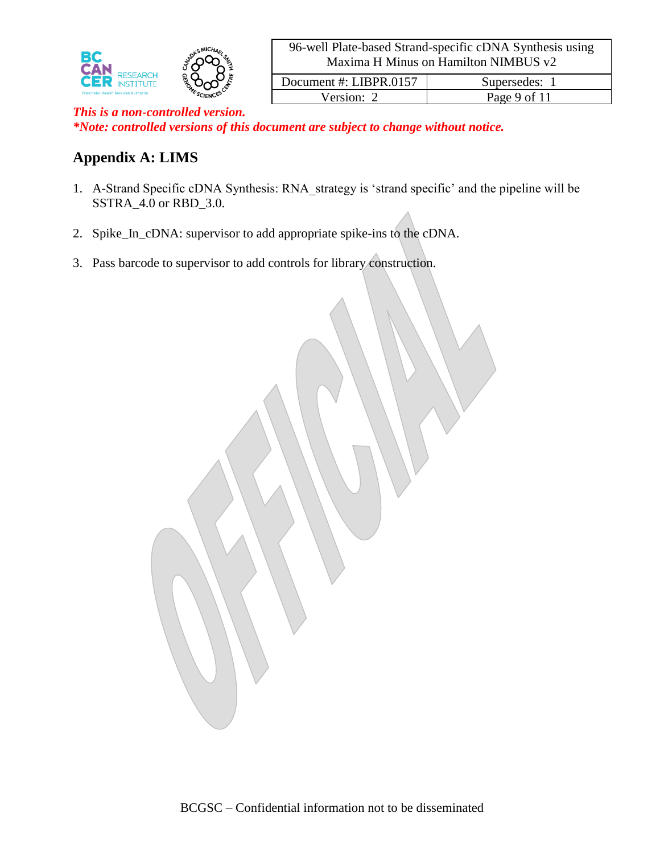

Version: 2 Page 9 of 11 *This is a non-controlled version. \*Note: controlled versions of this document are subject to change without notice.*

## **Appendix A: LIMS**

- 1. A-Strand Specific cDNA Synthesis: RNA\_strategy is 'strand specific' and the pipeline will be SSTRA\_4.0 or RBD\_3.0.
- 2. Spike\_In\_cDNA: supervisor to add appropriate spike-ins to the cDNA.
- 3. Pass barcode to supervisor to add controls for library construction.

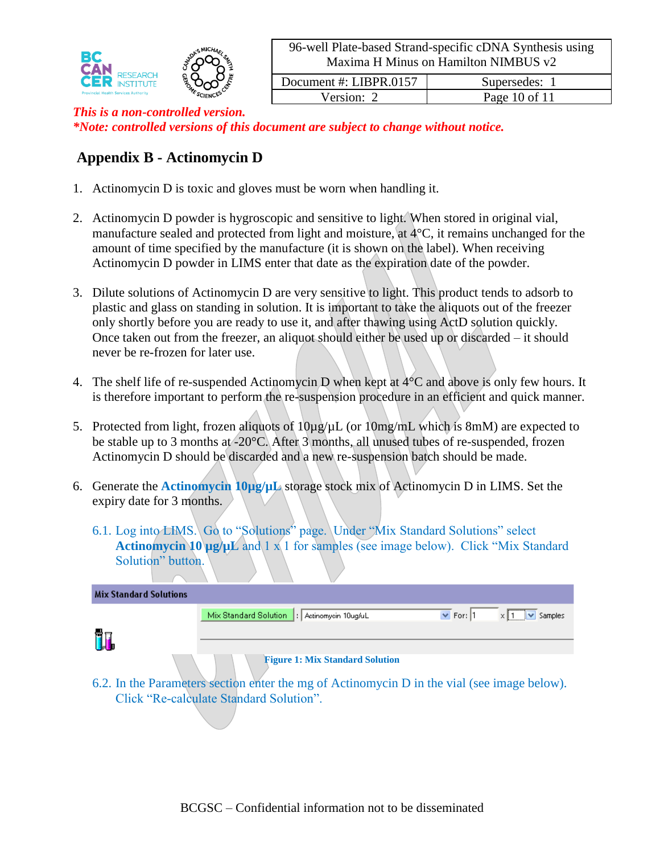

| Document #: LIBPR.0157 | Supersedes: 1     |
|------------------------|-------------------|
| Version: $2$           | Page $10$ of $11$ |

#### *This is a non-controlled version. \*Note: controlled versions of this document are subject to change without notice.*

## **Appendix B - Actinomycin D**

- 1. Actinomycin D is toxic and gloves must be worn when handling it.
- 2. Actinomycin D powder is hygroscopic and sensitive to light. When stored in original vial, manufacture sealed and protected from light and moisture, at 4°C, it remains unchanged for the amount of time specified by the manufacture (it is shown on the label). When receiving Actinomycin D powder in LIMS enter that date as the expiration date of the powder.
- 3. Dilute solutions of Actinomycin D are very sensitive to light. This product tends to adsorb to plastic and glass on standing in solution. It is important to take the aliquots out of the freezer only shortly before you are ready to use it, and after thawing using ActD solution quickly. Once taken out from the freezer, an aliquot should either be used up or discarded – it should never be re-frozen for later use.
- 4. The shelf life of re-suspended Actinomycin D when kept at 4°C and above is only few hours. It is therefore important to perform the re-suspension procedure in an efficient and quick manner.
- 5. Protected from light, frozen aliquots of  $10\mu g/\mu L$  (or  $10mg/mL$  which is 8mM) are expected to be stable up to 3 months at -20°C. After 3 months, all unused tubes of re-suspended, frozen Actinomycin D should be discarded and a new re-suspension batch should be made.
- 6. Generate the **Actinomycin 10µg/µL** storage stock mix of Actinomycin D in LIMS. Set the expiry date for 3 months.
	- 6.1. Log into LIMS. Go to "Solutions" page. Under "Mix Standard Solutions" select **Actinomycin 10 µg/µL** and 1 x 1 for samples (see image below). Click "Mix Standard Solution" button.

| <b>Mix Standard Solutions</b> |                                                                                                                                       |               |                         |
|-------------------------------|---------------------------------------------------------------------------------------------------------------------------------------|---------------|-------------------------|
|                               | Mix Standard Solution<br>: Actinomycin 10ug/uL                                                                                        | $\vee$ For: 1 | $\triangledown$ Samples |
|                               |                                                                                                                                       |               |                         |
|                               | <b>Figure 1: Mix Standard Solution</b><br>6.2. In the Parameters section enter the mg of Actinomycin D in the vial (see image below). |               |                         |
|                               | Click "Re-calculate Standard Solution".                                                                                               |               |                         |